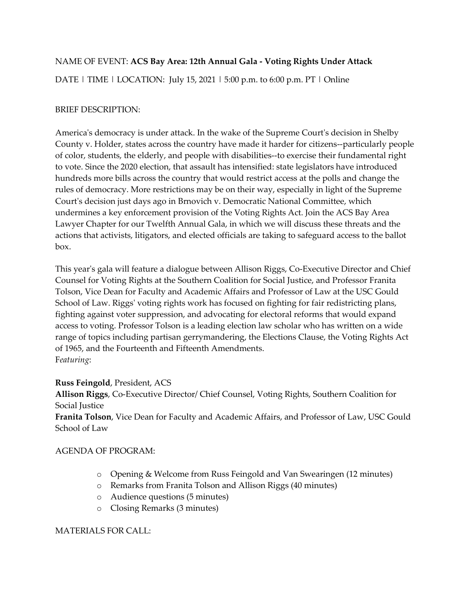# NAME OF EVENT: **ACS Bay Area: 12th Annual Gala - Voting Rights Under Attack**

DATE | TIME | LOCATION: July 15, 2021 | 5:00 p.m. to 6:00 p.m. PT | Online

# BRIEF DESCRIPTION:

America's democracy is under attack. In the wake of the Supreme Court's decision in Shelby County v. Holder, states across the country have made it harder for citizens--particularly people of color, students, the elderly, and people with disabilities--to exercise their fundamental right to vote. Since the 2020 election, that assault has intensified: state legislators have introduced hundreds more bills across the country that would restrict access at the polls and change the rules of democracy. More restrictions may be on their way, especially in light of the Supreme Court's decision just days ago in Brnovich v. Democratic National Committee, which undermines a key enforcement provision of the Voting Rights Act. Join the ACS Bay Area Lawyer Chapter for our Twelfth Annual Gala, in which we will discuss these threats and the actions that activists, litigators, and elected officials are taking to safeguard access to the ballot box.

This year's gala will feature a dialogue between Allison Riggs, Co-Executive Director and Chief Counsel for Voting Rights at the Southern Coalition for Social Justice, and Professor Franita Tolson, Vice Dean for Faculty and Academic Affairs and Professor of Law at the USC Gould School of Law. Riggs' voting rights work has focused on fighting for fair redistricting plans, fighting against voter suppression, and advocating for electoral reforms that would expand access to voting. Professor Tolson is a leading election law scholar who has written on a wide range of topics including partisan gerrymandering, the Elections Clause, the Voting Rights Act of 1965, and the Fourteenth and Fifteenth Amendments. F*eaturing*:

### **Russ Feingold**, President, ACS

**Allison Riggs**, Co-Executive Director/ Chief Counsel, Voting Rights, Southern Coalition for Social Justice

**Franita Tolson**, Vice Dean for Faculty and Academic Affairs, and Professor of Law, USC Gould School of Law

## AGENDA OF PROGRAM:

- o Opening & Welcome from Russ Feingold and Van Swearingen (12 minutes)
- o Remarks from Franita Tolson and Allison Riggs (40 minutes)
- o Audience questions (5 minutes)
- o Closing Remarks (3 minutes)

## MATERIALS FOR CALL: